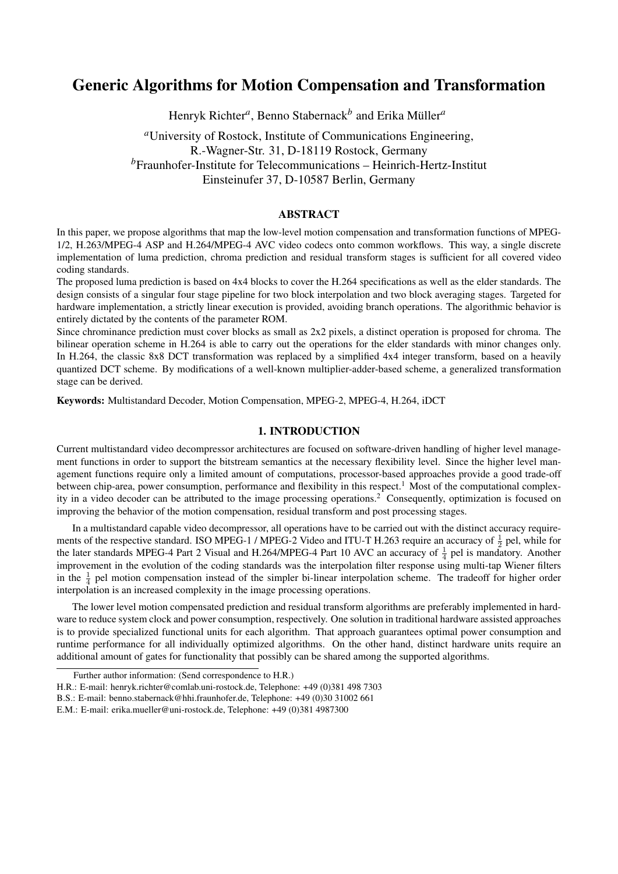# Generic Algorithms for Motion Compensation and Transformation

Henryk Richter<sup>a</sup>, Benno Stabernack<sup>b</sup> and Erika Müller<sup>a</sup>

*<sup>a</sup>*University of Rostock, Institute of Communications Engineering, R.-Wagner-Str. 31, D-18119 Rostock, Germany *<sup>b</sup>*Fraunhofer-Institute for Telecommunications – Heinrich-Hertz-Institut Einsteinufer 37, D-10587 Berlin, Germany

# ABSTRACT

In this paper, we propose algorithms that map the low-level motion compensation and transformation functions of MPEG-1/2, H.263/MPEG-4 ASP and H.264/MPEG-4 AVC video codecs onto common workflows. This way, a single discrete implementation of luma prediction, chroma prediction and residual transform stages is sufficient for all covered video coding standards.

The proposed luma prediction is based on 4x4 blocks to cover the H.264 specifications as well as the elder standards. The design consists of a singular four stage pipeline for two block interpolation and two block averaging stages. Targeted for hardware implementation, a strictly linear execution is provided, avoiding branch operations. The algorithmic behavior is entirely dictated by the contents of the parameter ROM.

Since chrominance prediction must cover blocks as small as 2x2 pixels, a distinct operation is proposed for chroma. The bilinear operation scheme in H.264 is able to carry out the operations for the elder standards with minor changes only. In H.264, the classic 8x8 DCT transformation was replaced by a simplified 4x4 integer transform, based on a heavily quantized DCT scheme. By modifications of a well-known multiplier-adder-based scheme, a generalized transformation stage can be derived.

Keywords: Multistandard Decoder, Motion Compensation, MPEG-2, MPEG-4, H.264, iDCT

### 1. INTRODUCTION

Current multistandard video decompressor architectures are focused on software-driven handling of higher level management functions in order to support the bitstream semantics at the necessary flexibility level. Since the higher level management functions require only a limited amount of computations, processor-based approaches provide a good trade-off between chip-area, power consumption, performance and flexibility in this respect.<sup>1</sup> Most of the computational complexity in a video decoder can be attributed to the image processing operations.<sup>2</sup> Consequently, optimization is focused on improving the behavior of the motion compensation, residual transform and post processing stages.

In a multistandard capable video decompressor, all operations have to be carried out with the distinct accuracy requirements of the respective standard. ISO MPEG-1 / MPEG-2 Video and ITU-T H.263 require an accuracy of  $\frac{1}{2}$  pel, while for the later standards MPEG-4 Part 2 Visual and H.264/MPEG-4 Part 10 AVC an accuracy of  $\frac{1}{4}$  pel is mandatory. Another improvement in the evolution of the coding standards was the interpolation filter response using multi-tap Wiener filters in the  $\frac{1}{4}$  pel motion compensation instead of the simpler bi-linear interpolation scheme. The tradeoff for higher order interpolation is an increased complexity in the image processing operations.

The lower level motion compensated prediction and residual transform algorithms are preferably implemented in hardware to reduce system clock and power consumption, respectively. One solution in traditional hardware assisted approaches is to provide specialized functional units for each algorithm. That approach guarantees optimal power consumption and runtime performance for all individually optimized algorithms. On the other hand, distinct hardware units require an additional amount of gates for functionality that possibly can be shared among the supported algorithms.

Further author information: (Send correspondence to H.R.)

H.R.: E-mail: henryk.richter@comlab.uni-rostock.de, Telephone: +49 (0)381 498 7303

B.S.: E-mail: benno.stabernack@hhi.fraunhofer.de, Telephone: +49 (0)30 31002 661

E.M.: E-mail: erika.mueller@uni-rostock.de, Telephone: +49 (0)381 4987300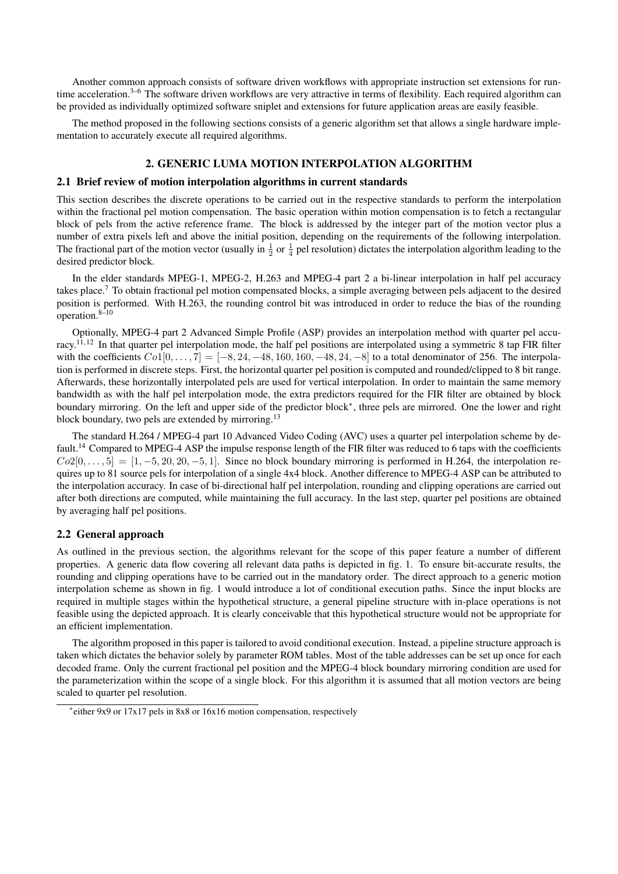Another common approach consists of software driven workflows with appropriate instruction set extensions for runtime acceleration.<sup>3–6</sup> The software driven workflows are very attractive in terms of flexibility. Each required algorithm can be provided as individually optimized software sniplet and extensions for future application areas are easily feasible.

The method proposed in the following sections consists of a generic algorithm set that allows a single hardware implementation to accurately execute all required algorithms.

# 2. GENERIC LUMA MOTION INTERPOLATION ALGORITHM

# 2.1 Brief review of motion interpolation algorithms in current standards

This section describes the discrete operations to be carried out in the respective standards to perform the interpolation within the fractional pel motion compensation. The basic operation within motion compensation is to fetch a rectangular block of pels from the active reference frame. The block is addressed by the integer part of the motion vector plus a number of extra pixels left and above the initial position, depending on the requirements of the following interpolation. The fractional part of the motion vector (usually in  $\frac{1}{2}$  or  $\frac{1}{4}$  pel resolution) dictates the interpolation algorithm leading to the desired predictor block.

In the elder standards MPEG-1, MPEG-2, H.263 and MPEG-4 part 2 a bi-linear interpolation in half pel accuracy takes place.<sup>7</sup> To obtain fractional pel motion compensated blocks, a simple averaging between pels adjacent to the desired position is performed. With H.263, the rounding control bit was introduced in order to reduce the bias of the rounding operation.8–10

Optionally, MPEG-4 part 2 Advanced Simple Profile (ASP) provides an interpolation method with quarter pel accuracy.<sup>11, 12</sup> In that quarter pel interpolation mode, the half pel positions are interpolated using a symmetric 8 tap FIR filter with the coefficients  $Co1[0, ..., 7] = [-8, 24, -48, 160, 160, -48, 24, -8]$  to a total denominator of 256. The interpolation is performed in discrete steps. First, the horizontal quarter pel position is computed and rounded/clipped to 8 bit range. Afterwards, these horizontally interpolated pels are used for vertical interpolation. In order to maintain the same memory bandwidth as with the half pel interpolation mode, the extra predictors required for the FIR filter are obtained by block boundary mirroring. On the left and upper side of the predictor block<sup>∗</sup> , three pels are mirrored. One the lower and right block boundary, two pels are extended by mirroring.<sup>13</sup>

The standard H.264 / MPEG-4 part 10 Advanced Video Coding (AVC) uses a quarter pel interpolation scheme by default.<sup>14</sup> Compared to MPEG-4 ASP the impulse response length of the FIR filter was reduced to 6 taps with the coefficients  $Co2[0, \ldots, 5] = [1, -5, 20, 20, -5, 1]$ . Since no block boundary mirroring is performed in H.264, the interpolation requires up to 81 source pels for interpolation of a single 4x4 block. Another difference to MPEG-4 ASP can be attributed to the interpolation accuracy. In case of bi-directional half pel interpolation, rounding and clipping operations are carried out after both directions are computed, while maintaining the full accuracy. In the last step, quarter pel positions are obtained by averaging half pel positions.

### 2.2 General approach

As outlined in the previous section, the algorithms relevant for the scope of this paper feature a number of different properties. A generic data flow covering all relevant data paths is depicted in fig. 1. To ensure bit-accurate results, the rounding and clipping operations have to be carried out in the mandatory order. The direct approach to a generic motion interpolation scheme as shown in fig. 1 would introduce a lot of conditional execution paths. Since the input blocks are required in multiple stages within the hypothetical structure, a general pipeline structure with in-place operations is not feasible using the depicted approach. It is clearly conceivable that this hypothetical structure would not be appropriate for an efficient implementation.

The algorithm proposed in this paper is tailored to avoid conditional execution. Instead, a pipeline structure approach is taken which dictates the behavior solely by parameter ROM tables. Most of the table addresses can be set up once for each decoded frame. Only the current fractional pel position and the MPEG-4 block boundary mirroring condition are used for the parameterization within the scope of a single block. For this algorithm it is assumed that all motion vectors are being scaled to quarter pel resolution.

<sup>∗</sup> either 9x9 or 17x17 pels in 8x8 or 16x16 motion compensation, respectively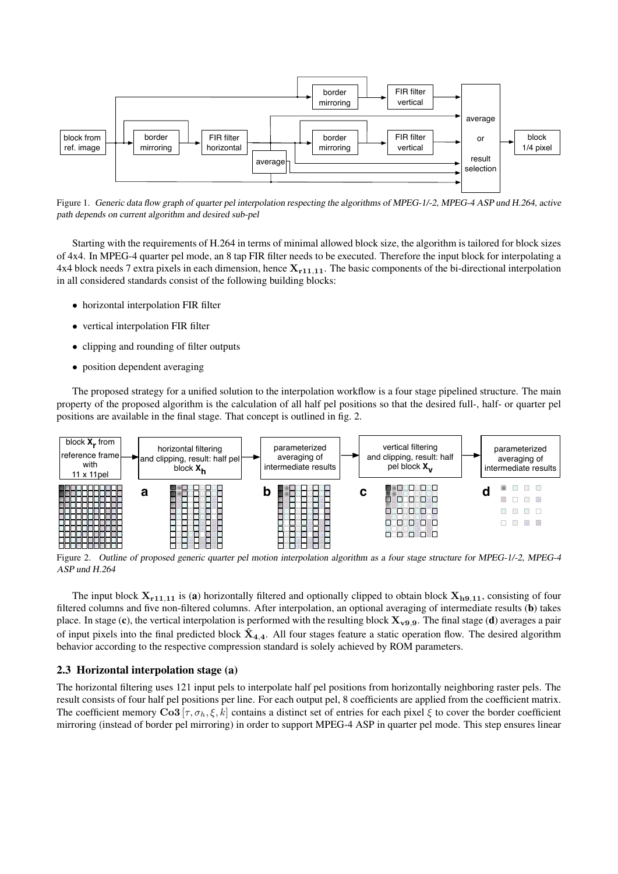

Figure 1. Generic data flow graph of quarter pel interpolation respecting the algorithms of MPEG-1/-2, MPEG-4 ASP und H.264, active path depends on current algorithm and desired sub-pel

Starting with the requirements of H.264 in terms of minimal allowed block size, the algorithm is tailored for block sizes of 4x4. In MPEG-4 quarter pel mode, an 8 tap FIR filter needs to be executed. Therefore the input block for interpolating a 4x4 block needs 7 extra pixels in each dimension, hence  $X_{r11,11}$ . The basic components of the bi-directional interpolation in all considered standards consist of the following building blocks:

- horizontal interpolation FIR filter
- vertical interpolation FIR filter
- clipping and rounding of filter outputs
- position dependent averaging

The proposed strategy for a unified solution to the interpolation workflow is a four stage pipelined structure. The main property of the proposed algorithm is the calculation of all half pel positions so that the desired full-, half- or quarter pel positions are available in the final stage. That concept is outlined in fig. 2.



Figure 2. Outline of proposed generic quarter pel motion interpolation algorithm as a four stage structure for MPEG-1/-2, MPEG-4 ASP und H.264

The input block  $X_{r11,11}$  is (a) horizontally filtered and optionally clipped to obtain block  $X_{h9,11}$ , consisting of four filtered columns and five non-filtered columns. After interpolation, an optional averaging of intermediate results (b) takes place. In stage (c), the vertical interpolation is performed with the resulting block  $X_{v9,9}$ . The final stage (d) averages a pair of input pixels into the final predicted block  $\hat{X}_{4,4}$ . All four stages feature a static operation flow. The desired algorithm behavior according to the respective compression standard is solely achieved by ROM parameters.

### 2.3 Horizontal interpolation stage (a)

The horizontal filtering uses 121 input pels to interpolate half pel positions from horizontally neighboring raster pels. The result consists of four half pel positions per line. For each output pel, 8 coefficients are applied from the coefficient matrix. The coefficient memory Co3 [ $\tau$ ,  $\sigma_h$ ,  $\xi$ , k] contains a distinct set of entries for each pixel  $\xi$  to cover the border coefficient mirroring (instead of border pel mirroring) in order to support MPEG-4 ASP in quarter pel mode. This step ensures linear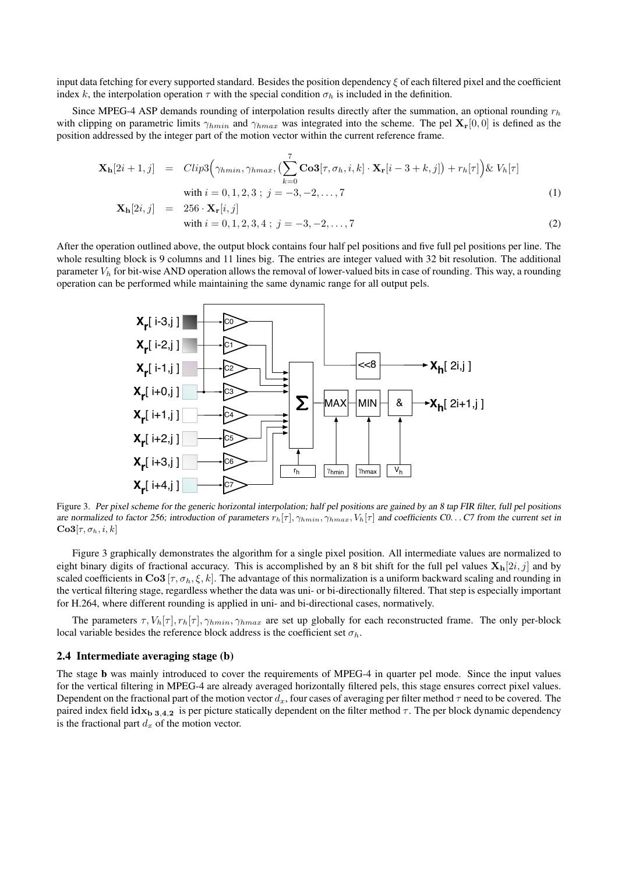input data fetching for every supported standard. Besides the position dependency  $\xi$  of each filtered pixel and the coefficient index k, the interpolation operation  $\tau$  with the special condition  $\sigma_h$  is included in the definition.

Since MPEG-4 ASP demands rounding of interpolation results directly after the summation, an optional rounding  $r_h$ with clipping on parametric limits  $\gamma_{hmin}$  and  $\gamma_{hmax}$  was integrated into the scheme. The pel  $\mathbf{X}_{r}[0, 0]$  is defined as the position addressed by the integer part of the motion vector within the current reference frame.

$$
\mathbf{X}_{\mathbf{h}}[2i+1,j] = \text{Clip3}\Big(\gamma_{hmin}, \gamma_{hmax}, \left(\sum_{k=0}^{7} \mathbf{Co3}[\tau, \sigma_h, i, k] \cdot \mathbf{X}_{\mathbf{r}}[i-3+k, j]\right) + r_h[\tau]\Big) \& V_h[\tau]
$$
\nwith  $i = 0, 1, 2, 3$ ;  $j = -3, -2, ..., 7$  (1)

$$
\mathbf{X}_{h}[2i,j] = 256 \cdot \mathbf{X}_{r}[i,j] \n\text{with } i = 0, 1, 2, 3, 4 \; ; \; j = -3, -2, \dots, 7
$$
\n(2)

After the operation outlined above, the output block contains four half pel positions and five full pel positions per line. The whole resulting block is 9 columns and 11 lines big. The entries are integer valued with 32 bit resolution. The additional parameter  $V_h$  for bit-wise AND operation allows the removal of lower-valued bits in case of rounding. This way, a rounding operation can be performed while maintaining the same dynamic range for all output pels.



Figure 3. Per pixel scheme for the generic horizontal interpolation; half pel positions are gained by an 8 tap FIR filter, full pel positions are normalized to factor 256; introduction of parameters  $r_h[\tau]$ ,  $\gamma_{hmin}$ ,  $\gamma_{hmax}$ ,  $V_h[\tau]$  and coefficients C0. . . C7 from the current set in  $Co3[\tau, \sigma_h, i, k]$ 

Figure 3 graphically demonstrates the algorithm for a single pixel position. All intermediate values are normalized to eight binary digits of fractional accuracy. This is accomplished by an 8 bit shift for the full pel values  $\mathbf{X_h}[2i, j]$  and by scaled coefficients in  $\text{Co3}[\tau, \sigma_h, \xi, k]$ . The advantage of this normalization is a uniform backward scaling and rounding in the vertical filtering stage, regardless whether the data was uni- or bi-directionally filtered. That step is especially important for H.264, where different rounding is applied in uni- and bi-directional cases, normatively.

The parameters  $\tau$ ,  $V_h[\tau]$ ,  $r_h[\tau]$ ,  $\gamma_{hmin}$ ,  $\gamma_{hmax}$  are set up globally for each reconstructed frame. The only per-block local variable besides the reference block address is the coefficient set  $\sigma_h$ .

# 2.4 Intermediate averaging stage (b)

The stage b was mainly introduced to cover the requirements of MPEG-4 in quarter pel mode. Since the input values for the vertical filtering in MPEG-4 are already averaged horizontally filtered pels, this stage ensures correct pixel values. Dependent on the fractional part of the motion vector  $d_x$ , four cases of averaging per filter method  $\tau$  need to be covered. The paired index field  $\mathbf{idx}_{\mathbf{b} \ 3,4,2}$  is per picture statically dependent on the filter method  $\tau$ . The per block dynamic dependency is the fractional part  $d_x$  of the motion vector.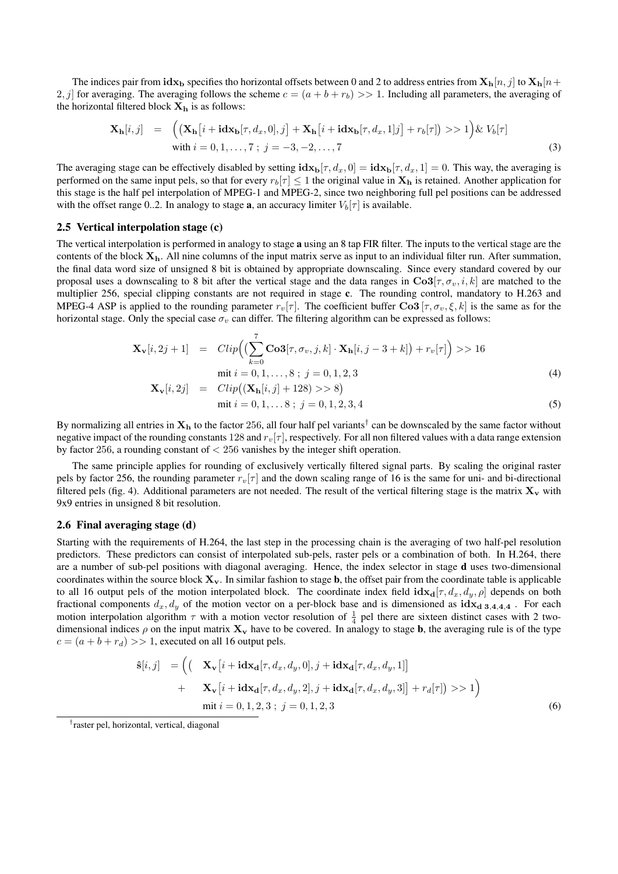The indices pair from  $\mathbf{idx}_\mathbf{b}$  specifies tho horizontal offsets between 0 and 2 to address entries from  $\mathbf{X}_\mathbf{h}[n, j]$  to  $\mathbf{X}_\mathbf{h}[n+1]$ 2, j for averaging. The averaging follows the scheme  $c = (a + b + r_b) >> 1$ . Including all parameters, the averaging of the horizontal filtered block  $X_h$  is as follows:

$$
\mathbf{X}_{\mathbf{h}}[i,j] = \left( (\mathbf{X}_{\mathbf{h}}[i + \mathbf{i} \mathbf{dx}_{\mathbf{b}}[\tau, d_x, 0], j] + \mathbf{X}_{\mathbf{h}}[i + \mathbf{i} \mathbf{dx}_{\mathbf{b}}[\tau, d_x, 1]j] + r_b[\tau] \right) >> 1 \right) \& V_b[\tau]
$$
  
with  $i = 0, 1, ..., 7$ ;  $j = -3, -2, ..., 7$  (3)

The averaging stage can be effectively disabled by setting  $i dx_b[\tau, d_x, 0] = i dx_b[\tau, d_x, 1] = 0$ . This way, the averaging is performed on the same input pels, so that for every  $r_b[\tau] \leq 1$  the original value in  $X_h$  is retained. Another application for this stage is the half pel interpolation of MPEG-1 and MPEG-2, since two neighboring full pel positions can be addressed with the offset range 0..2. In analogy to stage **a**, an accuracy limiter  $V_b[\tau]$  is available.

#### 2.5 Vertical interpolation stage (c)

The vertical interpolation is performed in analogy to stage a using an 8 tap FIR filter. The inputs to the vertical stage are the contents of the block  $X_h$ . All nine columns of the input matrix serve as input to an individual filter run. After summation, the final data word size of unsigned 8 bit is obtained by appropriate downscaling. Since every standard covered by our proposal uses a downscaling to 8 bit after the vertical stage and the data ranges in  $\text{Co3}[\tau, \sigma_v, i, k]$  are matched to the multiplier 256, special clipping constants are not required in stage c. The rounding control, mandatory to H.263 and MPEG-4 ASP is applied to the rounding parameter  $r_v[\tau]$ . The coefficient buffer Co3  $[\tau, \sigma_v, \xi, k]$  is the same as for the horizontal stage. Only the special case  $\sigma_v$  can differ. The filtering algorithm can be expressed as follows:

$$
\mathbf{X}_{\mathbf{v}}[i,2j+1] = Clip\Big(\big(\sum_{k=0}^{7} \mathbf{Co3}[\tau,\sigma_{v},j,k] \cdot \mathbf{X}_{\mathbf{h}}[i,j-3+k]\big) + r_{v}[\tau]\Big) >> 16
$$
  
mit  $i = 0, 1, ..., 8$ ;  $j = 0, 1, 2, 3$   

$$
\mathbf{X}_{\mathbf{v}}[i,2j] = Clip\big((\mathbf{X}_{\mathbf{h}}[i,j] + 128) >> 8\big)
$$
 (4)

$$
\text{mit } i = 0, 1, \dots 8 \; ; \; j = 0, 1, 2, 3, 4 \tag{5}
$$

By normalizing all entries in  $X_h$  to the factor 256, all four half pel variants<sup>†</sup> can be downscaled by the same factor without negative impact of the rounding constants 128 and  $r_v[\tau]$ , respectively. For all non filtered values with a data range extension by factor 256, a rounding constant of < 256 vanishes by the integer shift operation.

The same principle applies for rounding of exclusively vertically filtered signal parts. By scaling the original raster pels by factor 256, the rounding parameter  $r_v[\tau]$  and the down scaling range of 16 is the same for uni- and bi-directional filtered pels (fig. 4). Additional parameters are not needed. The result of the vertical filtering stage is the matrix  $X_v$  with 9x9 entries in unsigned 8 bit resolution.

### 2.6 Final averaging stage (d)

Starting with the requirements of H.264, the last step in the processing chain is the averaging of two half-pel resolution predictors. These predictors can consist of interpolated sub-pels, raster pels or a combination of both. In H.264, there are a number of sub-pel positions with diagonal averaging. Hence, the index selector in stage d uses two-dimensional coordinates within the source block  $X_v$ . In similar fashion to stage **b**, the offset pair from the coordinate table is applicable to all 16 output pels of the motion interpolated block. The coordinate index field  $\mathbf{idx}_{d}[\tau, d_x, d_y, \rho]$  depends on both fractional components  $d_x, d_y$  of the motion vector on a per-block base and is dimensioned as  $idx_d$  3,4,4,4. motion interpolation algorithm  $\tau$  with a motion vector resolution of  $\frac{1}{4}$  pel there are sixteen distinct cases with 2 twodimensional indices  $\rho$  on the input matrix  $\mathbf{X}_v$  have to be covered. In analogy to stage **b**, the averaging rule is of the type  $c = (a + b + r_d) >> 1$ , executed on all 16 output pels.

$$
\hat{\mathbf{s}}[i,j] = \left( \left( \mathbf{X}_{\mathbf{v}}[i + \mathbf{i} \mathbf{dx}_{\mathbf{d}}[\tau, d_x, d_y, 0], j + \mathbf{i} \mathbf{dx}_{\mathbf{d}}[\tau, d_x, d_y, 1] \right) + \mathbf{X}_{\mathbf{v}}[i + \mathbf{i} \mathbf{dx}_{\mathbf{d}}[\tau, d_x, d_y, 2], j + \mathbf{i} \mathbf{dx}_{\mathbf{d}}[\tau, d_x, d_y, 3] \right] + r_d[\tau] \rangle >> 1 \right)
$$
\n
$$
\text{mit } i = 0, 1, 2, 3; j = 0, 1, 2, 3 \tag{6}
$$

† raster pel, horizontal, vertical, diagonal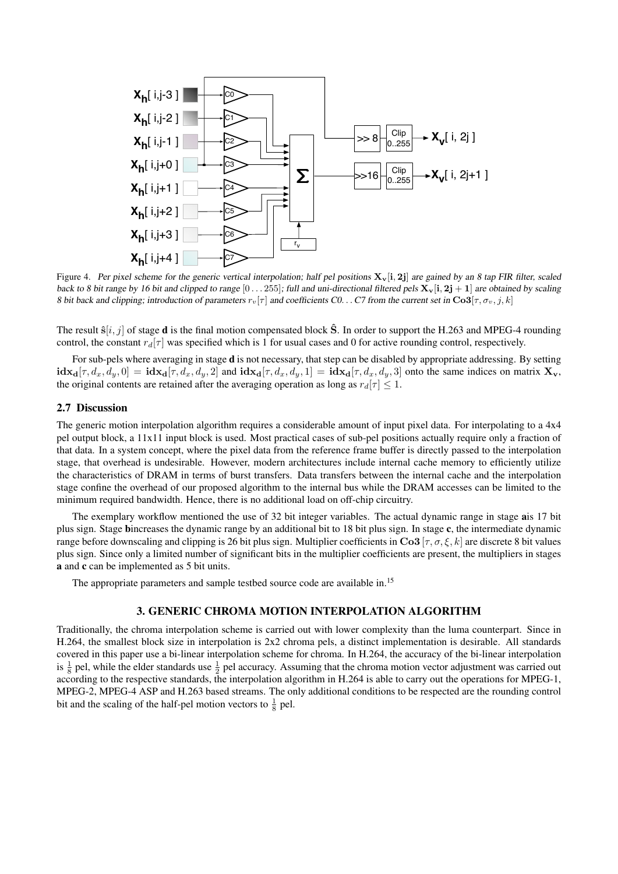

Figure 4. Per pixel scheme for the generic vertical interpolation; half pel positions  $X_v[i, 2j]$  are gained by an 8 tap FIR filter, scaled back to 8 bit range by 16 bit and clipped to range  $[0 \dots 255]$ ; full and uni-directional filtered pels  $X_v[i, 2j + 1]$  are obtained by scaling 8 bit back and clipping; introduction of parameters  $r_v[\tau]$  and coefficients C0... C7 from the current set in  $\text{Co3}[\tau, \sigma_v, j, k]$ 

The result  $\hat{\mathbf{s}}[i, j]$  of stage **d** is the final motion compensated block  $\hat{\mathbf{S}}$ . In order to support the H.263 and MPEG-4 rounding control, the constant  $r_d[\tau]$  was specified which is 1 for usual cases and 0 for active rounding control, respectively.

For sub-pels where averaging in stage d is not necessary, that step can be disabled by appropriate addressing. By setting  $\textbf{idx}_{d}[\tau, d_x, d_y, 0] = \textbf{idx}_{d}[\tau, d_x, d_y, 2]$  and  $\textbf{idx}_{d}[\tau, d_x, d_y, 1] = \textbf{idx}_{d}[\tau, d_x, d_y, 3]$  onto the same indices on matrix  $\mathbf{X}_{\mathbf{v}}$ , the original contents are retained after the averaging operation as long as  $r_d[\tau] \leq 1$ .

### 2.7 Discussion

The generic motion interpolation algorithm requires a considerable amount of input pixel data. For interpolating to a 4x4 pel output block, a 11x11 input block is used. Most practical cases of sub-pel positions actually require only a fraction of that data. In a system concept, where the pixel data from the reference frame buffer is directly passed to the interpolation stage, that overhead is undesirable. However, modern architectures include internal cache memory to efficiently utilize the characteristics of DRAM in terms of burst transfers. Data transfers between the internal cache and the interpolation stage confine the overhead of our proposed algorithm to the internal bus while the DRAM accesses can be limited to the minimum required bandwidth. Hence, there is no additional load on off-chip circuitry.

The exemplary workflow mentioned the use of 32 bit integer variables. The actual dynamic range in stage ais 17 bit plus sign. Stage bincreases the dynamic range by an additional bit to 18 bit plus sign. In stage c, the intermediate dynamic range before downscaling and clipping is 26 bit plus sign. Multiplier coefficients in  $\text{Co3}[\tau, \sigma, \xi, k]$  are discrete 8 bit values plus sign. Since only a limited number of significant bits in the multiplier coefficients are present, the multipliers in stages a and c can be implemented as 5 bit units.

The appropriate parameters and sample testbed source code are available in.<sup>15</sup>

#### 3. GENERIC CHROMA MOTION INTERPOLATION ALGORITHM

Traditionally, the chroma interpolation scheme is carried out with lower complexity than the luma counterpart. Since in H.264, the smallest block size in interpolation is 2x2 chroma pels, a distinct implementation is desirable. All standards covered in this paper use a bi-linear interpolation scheme for chroma. In H.264, the accuracy of the bi-linear interpolation is  $\frac{1}{8}$  pel, while the elder standards use  $\frac{1}{2}$  pel accuracy. Assuming that the chroma motion vector adjustment was carried out according to the respective standards, the interpolation algorithm in H.264 is able to carry out the operations for MPEG-1, MPEG-2, MPEG-4 ASP and H.263 based streams. The only additional conditions to be respected are the rounding control bit and the scaling of the half-pel motion vectors to  $\frac{1}{8}$  pel.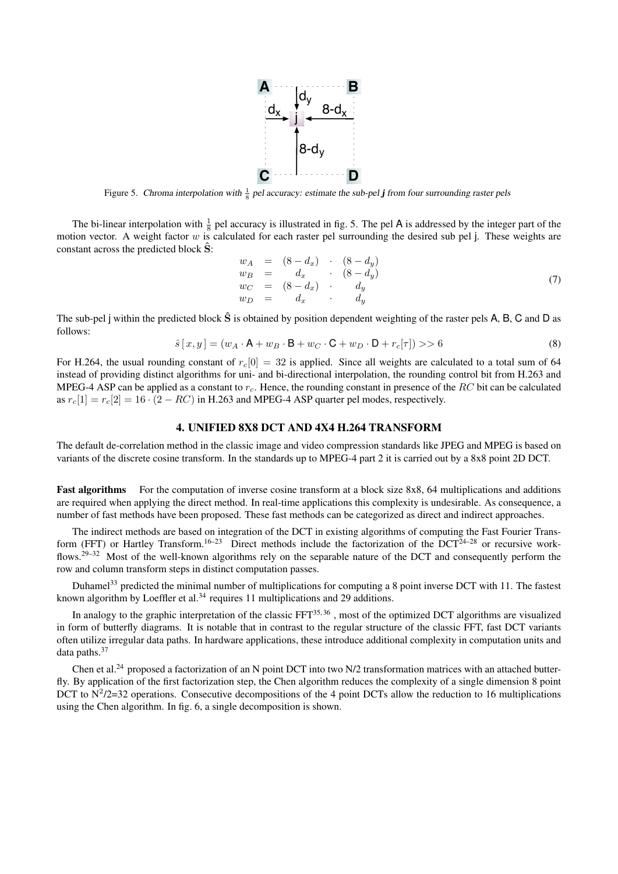

Figure 5. Chroma interpolation with  $\frac{1}{8}$  pel accuracy: estimate the sub-pel **j** from four surrounding raster pels

The bi-linear interpolation with  $\frac{1}{8}$  pel accuracy is illustrated in fig. 5. The pel A is addressed by the integer part of the motion vector. A weight factor  $w$  is calculated for each raster pel surrounding the desired sub pel j. These weights are constant across the predicted block  $\hat{S}$ :

$$
w_A = (8 - d_x) \cdot (8 - d_y)
$$
  
\n
$$
w_B = d_x \cdot (8 - d_y)
$$
  
\n
$$
w_C = (8 - d_x) \cdot d_y
$$
  
\n
$$
w_D = d_x \cdot d_y
$$
\n(7)

The sub-pel j within the predicted block  $\hat{S}$  is obtained by position dependent weighting of the raster pels A, B, C and D as follows:

$$
\hat{s}[x, y] = (w_A \cdot \mathsf{A} + w_B \cdot \mathsf{B} + w_C \cdot \mathsf{C} + w_D \cdot \mathsf{D} + r_c[\tau]) \gg 6
$$
\n
$$
(8)
$$

For H.264, the usual rounding constant of  $r_c[0] = 32$  is applied. Since all weights are calculated to a total sum of 64 instead of providing distinct algorithms for uni- and bi-directional interpolation, the rounding control bit from H.263 and MPEG-4 ASP can be applied as a constant to  $r_c$ . Hence, the rounding constant in presence of the RC bit can be calculated as  $r_c[1] = r_c[2] = 16 \cdot (2 - RC)$  in H.263 and MPEG-4 ASP quarter pel modes, respectively.

# 4. UNIFIED 8X8 DCT AND 4X4 H.264 TRANSFORM

The default de-correlation method in the classic image and video compression standards like JPEG and MPEG is based on variants of the discrete cosine transform. In the standards up to MPEG-4 part 2 it is carried out by a 8x8 point 2D DCT.

Fast algorithms For the computation of inverse cosine transform at a block size 8x8, 64 multiplications and additions are required when applying the direct method. In real-time applications this complexity is undesirable. As consequence, a number of fast methods have been proposed. These fast methods can be categorized as direct and indirect approaches.

The indirect methods are based on integration of the DCT in existing algorithms of computing the Fast Fourier Transform (FFT) or Hartley Transform.<sup>16–23</sup> Direct methods include the factorization of the  $DCT^{24-28}$  or recursive workflows.<sup>29–32</sup> Most of the well-known algorithms rely on the separable nature of the DCT and consequently perform the row and column transform steps in distinct computation passes.

Duhamel<sup>33</sup> predicted the minimal number of multiplications for computing a 8 point inverse DCT with 11. The fastest known algorithm by Loeffler et al.<sup>34</sup> requires 11 multiplications and 29 additions.

In analogy to the graphic interpretation of the classic FFT<sup>35,36</sup>, most of the optimized DCT algorithms are visualized in form of butterfly diagrams. It is notable that in contrast to the regular structure of the classic FFT, fast DCT variants often utilize irregular data paths. In hardware applications, these introduce additional complexity in computation units and data paths.<sup>37</sup>

Chen et al.<sup>24</sup> proposed a factorization of an N point DCT into two N/2 transformation matrices with an attached butterfly. By application of the first factorization step, the Chen algorithm reduces the complexity of a single dimension 8 point DCT to  $N^2/2=32$  operations. Consecutive decompositions of the 4 point DCTs allow the reduction to 16 multiplications using the Chen algorithm. In fig. 6, a single decomposition is shown.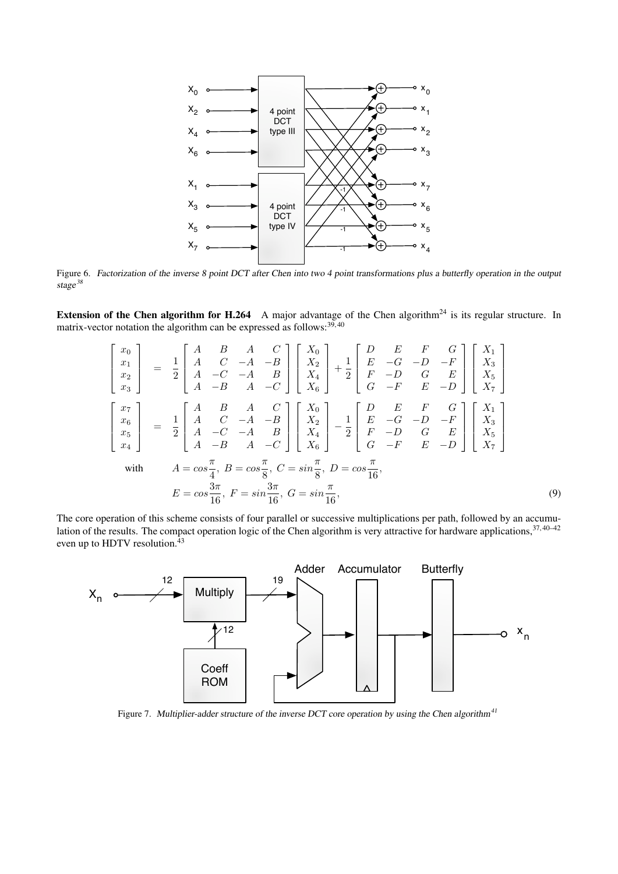

Figure 6. Factorization of the inverse 8 point DCT after Chen into two 4 point transformations plus a butterfly operation in the output stage<sup>38</sup>

Extension of the Chen algorithm for H.264 A major advantage of the Chen algorithm<sup>24</sup> is its regular structure. In matrix-vector notation the algorithm can be expressed as follows: $39,40$ 

$$
\begin{bmatrix} x_0 \\ x_1 \\ x_2 \\ x_3 \end{bmatrix} = \frac{1}{2} \begin{bmatrix} A & B & A & C \\ A & C & -A & -B \\ A & -C & -A & B \\ A & -B & A & -C \end{bmatrix} \begin{bmatrix} X_0 \\ X_2 \\ X_4 \\ X_5 \end{bmatrix} + \frac{1}{2} \begin{bmatrix} D & E & F & G \\ E & -G & -D & -F \\ F & -D & G & E \\ G & -F & E & -D \end{bmatrix} \begin{bmatrix} X_1 \\ X_3 \\ X_4 \\ X_5 \end{bmatrix}
$$

$$
\begin{bmatrix} x_7 \\ x_6 \\ x_5 \\ x_4 \end{bmatrix} = \frac{1}{2} \begin{bmatrix} A & B & A & C \\ A & C & -A & -B \\ A & -C & -A & B \\ A & -B & A & -C \end{bmatrix} \begin{bmatrix} X_0 \\ X_2 \\ X_4 \\ X_5 \end{bmatrix} - \frac{1}{2} \begin{bmatrix} D & E & F & G \\ E & -G & -D & -F \\ F & -D & G & E \\ G & -F & E & -D \end{bmatrix} \begin{bmatrix} X_1 \\ X_3 \\ X_4 \\ X_5 \\ X_6 \end{bmatrix}
$$

$$
\text{with} \quad A = \cos \frac{\pi}{4}, B = \cos \frac{\pi}{8}, C = \sin \frac{\pi}{8}, D = \cos \frac{\pi}{16},
$$

$$
E = \cos \frac{3\pi}{16}, F = \sin \frac{3\pi}{16}, G = \sin \frac{\pi}{16},
$$

$$
\tag{9}
$$

The core operation of this scheme consists of four parallel or successive multiplications per path, followed by an accumulation of the results. The compact operation logic of the Chen algorithm is very attractive for hardware applications, 37, 40–42 even up to HDTV resolution.<sup>43</sup>



Figure 7. Multiplier-adder structure of the inverse DCT core operation by using the Chen algorithm<sup>41</sup>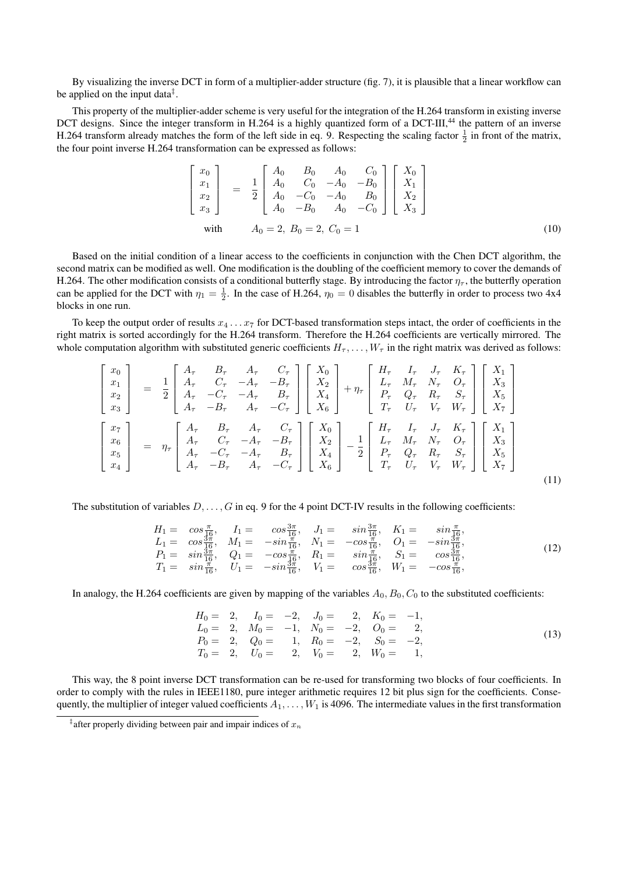By visualizing the inverse DCT in form of a multiplier-adder structure (fig. 7), it is plausible that a linear workflow can be applied on the input data<sup> $\ddagger$ </sup>.

This property of the multiplier-adder scheme is very useful for the integration of the H.264 transform in existing inverse DCT designs. Since the integer transform in H.264 is a highly quantized form of a DCT-III,<sup>44</sup> the pattern of an inverse H.264 transform already matches the form of the left side in eq. 9. Respecting the scaling factor  $\frac{1}{2}$  in front of the matrix, the four point inverse H.264 transformation can be expressed as follows:

$$
\begin{bmatrix} x_0 \\ x_1 \\ x_2 \\ x_3 \end{bmatrix} = \frac{1}{2} \begin{bmatrix} A_0 & B_0 & A_0 & C_0 \\ A_0 & C_0 & -A_0 & -B_0 \\ A_0 & -C_0 & -A_0 & B_0 \\ A_0 & -B_0 & A_0 & -C_0 \end{bmatrix} \begin{bmatrix} X_0 \\ X_1 \\ X_2 \\ X_3 \end{bmatrix}
$$
  
with  $A_0 = 2, B_0 = 2, C_0 = 1$  (10)

Based on the initial condition of a linear access to the coefficients in conjunction with the Chen DCT algorithm, the second matrix can be modified as well. One modification is the doubling of the coefficient memory to cover the demands of H.264. The other modification consists of a conditional butterfly stage. By introducing the factor  $\eta_{\tau}$ , the butterfly operation can be applied for the DCT with  $\eta_1 = \frac{1}{2}$ . In the case of H.264,  $\eta_0 = 0$  disables the butterfly in order to process two 4x4 blocks in one run.

To keep the output order of results  $x_4 \ldots x_7$  for DCT-based transformation steps intact, the order of coefficients in the right matrix is sorted accordingly for the H.264 transform. Therefore the H.264 coefficients are vertically mirrored. The whole computation algorithm with substituted generic coefficients  $H_{\tau}$ , ...,  $W_{\tau}$  in the right matrix was derived as follows:

$$
\begin{bmatrix}\nx_0 \\
x_1 \\
x_2 \\
x_3\n\end{bmatrix} = \frac{1}{2} \begin{bmatrix}\nA_{\tau} & B_{\tau} & A_{\tau} & C_{\tau} \\
A_{\tau} & C_{\tau} & -A_{\tau} & -B_{\tau} \\
A_{\tau} & -C_{\tau} & -A_{\tau} & B_{\tau} \\
A_{\tau} & -B_{\tau} & A_{\tau} & -C_{\tau}\n\end{bmatrix} \begin{bmatrix}\nX_0 \\
X_2 \\
X_4 \\
X_5 \\
X_6\n\end{bmatrix} + \eta_{\tau} \begin{bmatrix}\nH_{\tau} & I_{\tau} & J_{\tau} & K_{\tau} \\
L_{\tau} & M_{\tau} & N_{\tau} & O_{\tau} \\
P_{\tau} & Q_{\tau} & R_{\tau} & S_{\tau} \\
T_{\tau} & U_{\tau} & V_{\tau} & W_{\tau}\n\end{bmatrix} \begin{bmatrix}\nX_1 \\
X_3 \\
X_4 \\
X_7\n\end{bmatrix}
$$
\n
$$
\begin{bmatrix}\nx_7 \\
x_6 \\
x_5 \\
x_4\n\end{bmatrix} = \eta_{\tau} \begin{bmatrix}\nA_{\tau} & B_{\tau} & A_{\tau} & C_{\tau} \\
A_{\tau} & C_{\tau} & -A_{\tau} & -B_{\tau} \\
A_{\tau} & -C_{\tau} & -A_{\tau} & B_{\tau} \\
A_{\tau} & -B_{\tau} & A_{\tau} & -C_{\tau}\n\end{bmatrix} \begin{bmatrix}\nX_0 \\
X_2 \\
X_3 \\
X_4 \\
X_5\n\end{bmatrix} - \frac{1}{2} \begin{bmatrix}\nH_{\tau} & I_{\tau} & J_{\tau} & K_{\tau} \\
L_{\tau} & M_{\tau} & N_{\tau} & O_{\tau} \\
P_{\tau} & Q_{\tau} & R_{\tau} & S_{\tau} \\
P_{\tau} & U_{\tau} & V_{\tau} & W_{\tau}\n\end{bmatrix} \begin{bmatrix}\nX_1 \\
X_3 \\
X_4 \\
X_5\n\end{bmatrix}
$$
\n
$$
(11)
$$

The substitution of variables  $D, \ldots, G$  in eq. 9 for the 4 point DCT-IV results in the following coefficients:

$$
H_1 = \cos\frac{\pi}{16}, \quad I_1 = \cos\frac{3\pi}{16}, \quad J_1 = \sin\frac{3\pi}{16}, \quad K_1 = \sin\frac{\pi}{16}, L_1 = \cos\frac{3\pi}{16}, \quad M_1 = -\sin\frac{\pi}{16}, \quad N_1 = -\cos\frac{\pi}{16}, \quad O_1 = -\sin\frac{3\pi}{16}, P_1 = \sin\frac{3\pi}{16}, \quad Q_1 = -\cos\frac{\pi}{16}, \quad R_1 = \sin\frac{\pi}{16}, \quad S_1 = \cos\frac{3\pi}{16}, T_1 = \sin\frac{\pi}{16}, \quad U_1 = -\sin\frac{3\pi}{16}, \quad V_1 = \cos\frac{3\pi}{16}, \quad W_1 = -\cos\frac{\pi}{16},
$$
\n(12)

In analogy, the H.264 coefficients are given by mapping of the variables  $A_0$ ,  $B_0$ ,  $C_0$  to the substituted coefficients:

$$
H_0 = 2, \tI_0 = -2, \tJ_0 = 2, \tK_0 = -1,\nL_0 = 2, \tM_0 = -1, \tN_0 = -2, \tO_0 = 2,\nP_0 = 2, \tQ_0 = 1, \tR_0 = -2, \tS_0 = -2,\nT_0 = 2, \tU_0 = 2, \tV_0 = 2, \tW_0 = 1,
$$
\n
$$
(13)
$$

This way, the 8 point inverse DCT transformation can be re-used for transforming two blocks of four coefficients. In order to comply with the rules in IEEE1180, pure integer arithmetic requires 12 bit plus sign for the coefficients. Consequently, the multiplier of integer valued coefficients  $A_1, \ldots, W_1$  is 4096. The intermediate values in the first transformation

<sup>&</sup>lt;sup>‡</sup> after properly dividing between pair and impair indices of  $x_n$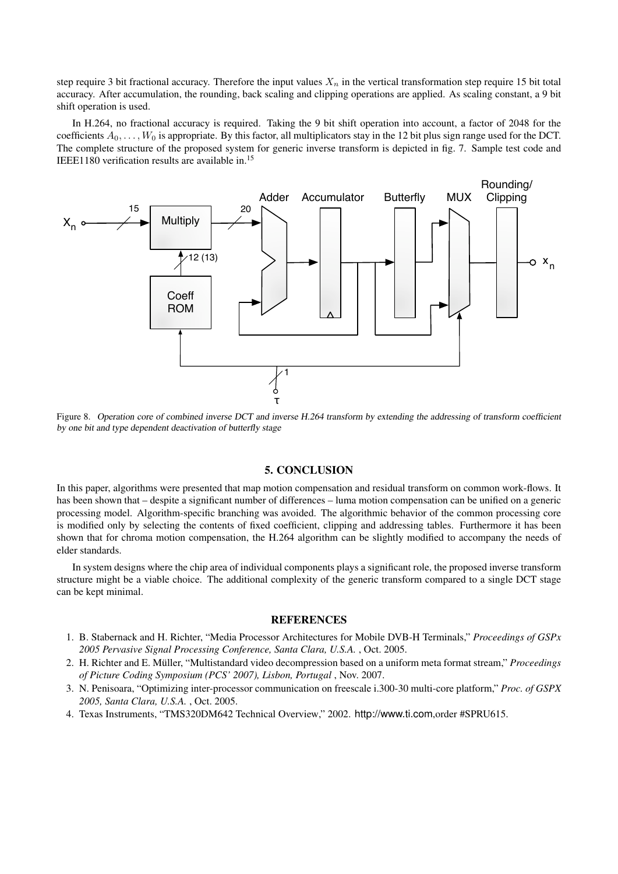step require 3 bit fractional accuracy. Therefore the input values  $X_n$  in the vertical transformation step require 15 bit total accuracy. After accumulation, the rounding, back scaling and clipping operations are applied. As scaling constant, a 9 bit shift operation is used.

In H.264, no fractional accuracy is required. Taking the 9 bit shift operation into account, a factor of 2048 for the coefficients  $A_0, \ldots, W_0$  is appropriate. By this factor, all multiplicators stay in the 12 bit plus sign range used for the DCT. The complete structure of the proposed system for generic inverse transform is depicted in fig. 7. Sample test code and IEEE1180 verification results are available in.<sup>15</sup>



Figure 8. Operation core of combined inverse DCT and inverse H.264 transform by extending the addressing of transform coefficient by one bit and type dependent deactivation of butterfly stage

# 5. CONCLUSION

In this paper, algorithms were presented that map motion compensation and residual transform on common work-flows. It has been shown that – despite a significant number of differences – luma motion compensation can be unified on a generic processing model. Algorithm-specific branching was avoided. The algorithmic behavior of the common processing core is modified only by selecting the contents of fixed coefficient, clipping and addressing tables. Furthermore it has been shown that for chroma motion compensation, the H.264 algorithm can be slightly modified to accompany the needs of elder standards.

In system designs where the chip area of individual components plays a significant role, the proposed inverse transform structure might be a viable choice. The additional complexity of the generic transform compared to a single DCT stage can be kept minimal.

# **REFERENCES**

- 1. B. Stabernack and H. Richter, "Media Processor Architectures for Mobile DVB-H Terminals," *Proceedings of GSPx 2005 Pervasive Signal Processing Conference, Santa Clara, U.S.A.* , Oct. 2005.
- 2. H. Richter and E. Müller, "Multistandard video decompression based on a uniform meta format stream," *Proceedings of Picture Coding Symposium (PCS' 2007), Lisbon, Portugal* , Nov. 2007.
- 3. N. Penisoara, "Optimizing inter-processor communication on freescale i.300-30 multi-core platform," *Proc. of GSPX 2005, Santa Clara, U.S.A.* , Oct. 2005.
- 4. Texas Instruments, "TMS320DM642 Technical Overview," 2002. http://www.ti.com,order #SPRU615.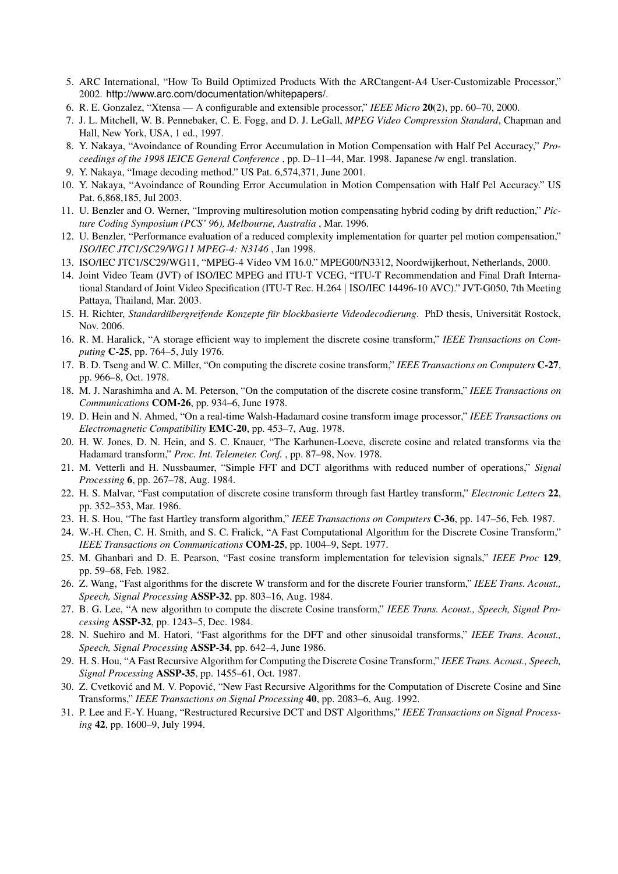- 5. ARC International, "How To Build Optimized Products With the ARCtangent-A4 User-Customizable Processor," 2002. http://www.arc.com/documentation/whitepapers/.
- 6. R. E. Gonzalez, "Xtensa A configurable and extensible processor," *IEEE Micro* 20(2), pp. 60–70, 2000.
- 7. J. L. Mitchell, W. B. Pennebaker, C. E. Fogg, and D. J. LeGall, *MPEG Video Compression Standard*, Chapman and Hall, New York, USA, 1 ed., 1997.
- 8. Y. Nakaya, "Avoindance of Rounding Error Accumulation in Motion Compensation with Half Pel Accuracy," *Proceedings of the 1998 IEICE General Conference* , pp. D–11–44, Mar. 1998. Japanese /w engl. translation.
- 9. Y. Nakaya, "Image decoding method." US Pat. 6,574,371, June 2001.
- 10. Y. Nakaya, "Avoindance of Rounding Error Accumulation in Motion Compensation with Half Pel Accuracy." US Pat. 6,868,185, Jul 2003.
- 11. U. Benzler and O. Werner, "Improving multiresolution motion compensating hybrid coding by drift reduction," *Picture Coding Symposium (PCS' 96), Melbourne, Australia* , Mar. 1996.
- 12. U. Benzler, "Performance evaluation of a reduced complexity implementation for quarter pel motion compensation," *ISO/IEC JTC1/SC29/WG11 MPEG-4: N3146* , Jan 1998.
- 13. ISO/IEC JTC1/SC29/WG11, "MPEG-4 Video VM 16.0." MPEG00/N3312, Noordwijkerhout, Netherlands, 2000.
- 14. Joint Video Team (JVT) of ISO/IEC MPEG and ITU-T VCEG, "ITU-T Recommendation and Final Draft International Standard of Joint Video Specification (ITU-T Rec. H.264 | ISO/IEC 14496-10 AVC)." JVT-G050, 7th Meeting Pattaya, Thailand, Mar. 2003.
- 15. H. Richter, *Standardübergreifende Konzepte für blockbasierte Videodecodierung. PhD thesis, Universität Rostock,* Nov. 2006.
- 16. R. M. Haralick, "A storage efficient way to implement the discrete cosine transform," *IEEE Transactions on Computing* C-25, pp. 764–5, July 1976.
- 17. B. D. Tseng and W. C. Miller, "On computing the discrete cosine transform," *IEEE Transactions on Computers* C-27, pp. 966–8, Oct. 1978.
- 18. M. J. Narashimha and A. M. Peterson, "On the computation of the discrete cosine transform," *IEEE Transactions on Communications* COM-26, pp. 934–6, June 1978.
- 19. D. Hein and N. Ahmed, "On a real-time Walsh-Hadamard cosine transform image processor," *IEEE Transactions on Electromagnetic Compatibility* EMC-20, pp. 453–7, Aug. 1978.
- 20. H. W. Jones, D. N. Hein, and S. C. Knauer, "The Karhunen-Loeve, discrete cosine and related transforms via the Hadamard transform," *Proc. Int. Telemeter. Conf.* , pp. 87–98, Nov. 1978.
- 21. M. Vetterli and H. Nussbaumer, "Simple FFT and DCT algorithms with reduced number of operations," *Signal Processing* 6, pp. 267–78, Aug. 1984.
- 22. H. S. Malvar, "Fast computation of discrete cosine transform through fast Hartley transform," *Electronic Letters* 22, pp. 352–353, Mar. 1986.
- 23. H. S. Hou, "The fast Hartley transform algorithm," *IEEE Transactions on Computers* C-36, pp. 147–56, Feb. 1987.
- 24. W.-H. Chen, C. H. Smith, and S. C. Fralick, "A Fast Computational Algorithm for the Discrete Cosine Transform," *IEEE Transactions on Communications* COM-25, pp. 1004–9, Sept. 1977.
- 25. M. Ghanbari and D. E. Pearson, "Fast cosine transform implementation for television signals," *IEEE Proc* 129, pp. 59–68, Feb. 1982.
- 26. Z. Wang, "Fast algorithms for the discrete W transform and for the discrete Fourier transform," *IEEE Trans. Acoust., Speech, Signal Processing* ASSP-32, pp. 803–16, Aug. 1984.
- 27. B. G. Lee, "A new algorithm to compute the discrete Cosine transform," *IEEE Trans. Acoust., Speech, Signal Processing* ASSP-32, pp. 1243–5, Dec. 1984.
- 28. N. Suehiro and M. Hatori, "Fast algorithms for the DFT and other sinusoidal transforms," *IEEE Trans. Acoust., Speech, Signal Processing* ASSP-34, pp. 642–4, June 1986.
- 29. H. S. Hou, "A Fast Recursive Algorithm for Computing the Discrete Cosine Transform," *IEEE Trans. Acoust., Speech, Signal Processing* ASSP-35, pp. 1455–61, Oct. 1987.
- 30. Z. Cvetković and M. V. Popović, "New Fast Recursive Algorithms for the Computation of Discrete Cosine and Sine Transforms," *IEEE Transactions on Signal Processing* 40, pp. 2083–6, Aug. 1992.
- 31. P. Lee and F.-Y. Huang, "Restructured Recursive DCT and DST Algorithms," *IEEE Transactions on Signal Processing* 42, pp. 1600–9, July 1994.